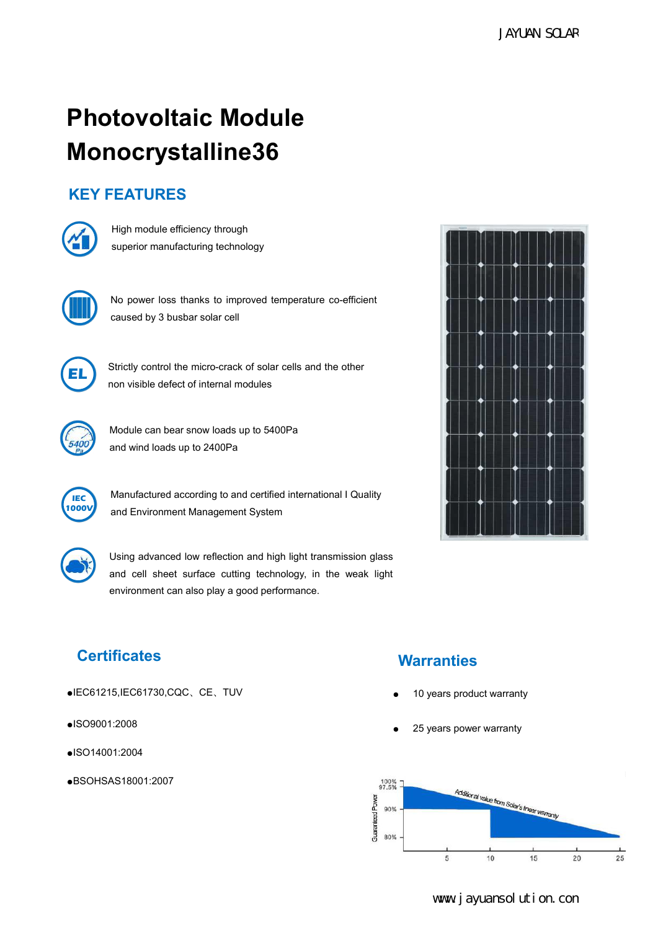# JAYUAN SCLAR<br> **Photovoltaic Module**<br>
Monocrystalline36<br>
KEY FEATURES<br>
(A) **Monocrystalline36 Photovoltaic Module<br>Monocrystalline36**<br>KEY FEATURES<br>**KEY FEATURES**<br>Superior manufacturing technology **tovoltaic Module<br>Nacrystalline36<br>High module efficiency through<br>superior manufacturing technology tovoltaic Module<br>
Nocrystalline36<br>
Superior manufacturing technology<br>
Superior manufacturing technology<br>
Nunction of the superior manufacturing technology**





TOCT YSCATIFICS<br>
High module efficiency through<br>
superior manufacturing technology<br>
No power loss thanks to improved temperature co-efficient<br>
caused by 3 busbar solar cell **EATURES**<br>
High module efficiency through<br>
superior manufacturing technology<br>
No power loss thanks to improved temperature co-efficien<br>
caused by 3 busbar solar cell<br>
Strictly control the micro-crack of solar cells and the High module efficiency through<br>superior manufacturing technology<br>No power loss thanks to improved temperature co-efficient<br>caused by 3 busbar solar cell<br>Strictly control the micro-crack of solar cells and the other<br>non vis superior manufacturing technology<br>
No power loss thanks to improved temperature co-efficient<br>
caused by 3 busbar solar cell<br>
Strictly control the micro-crack of solar cells and the other<br>
non visible defect of internal mod No power loss thanks to improved temperature co-efficient<br>caused by 3 busbar solar cell<br>Strictly control the micro-crack of solar cells and the other<br>non visible defect of internal modules<br>Module can bear snow loads up to



No power loss trains to improved temperature co-encaused by 3 busbar solar cell<br>caused by 3 busbar solar cell<br>Strictly control the micro-crack of solar cells and the oth<br>non visible defect of internal modules<br>Module can be Strictly control the micro-crack of solar cells and the other<br>non visible defect of internal modules





strictly control the micro-crack of solar cells and the other<br>non visible defect of internal modules<br>Module can bear snow loads up to 5400Pa<br>and wind loads up to 2400Pa<br>Manufactured according to and certified international Manufactured according to and certified international I Quality<br>1000V and Environment Management System and Environment Management System



Module can bear snow loads up to 5400Pa<br>
and wind loads up to 2400Pa<br>
Manufactured according to and certified international I Quality<br>
and Environment Management System<br>
Using advanced low reflection and high light transmi Module can bear snow loads up to 5400Pa<br>
and wind loads up to 2400Pa<br>
Manufactured according to and certified international I Quality<br>
and Environment Management System<br>
Using advanced low reflection and high light transmi and wind loads up to 2400Pa<br>Manufactured according to and certified international I Quality<br>and Environment Management System<br>Using advanced low reflection and high light transmission glass<br>and cell sheet surface cutting t



- ●IEC61215,IEC61730,CQC、CE、TUV
- ●ISO9001:2008
- ●ISO14001:2004
- ●BSOHSAS18001:2007

# **Certificates Warranties**

- 
-